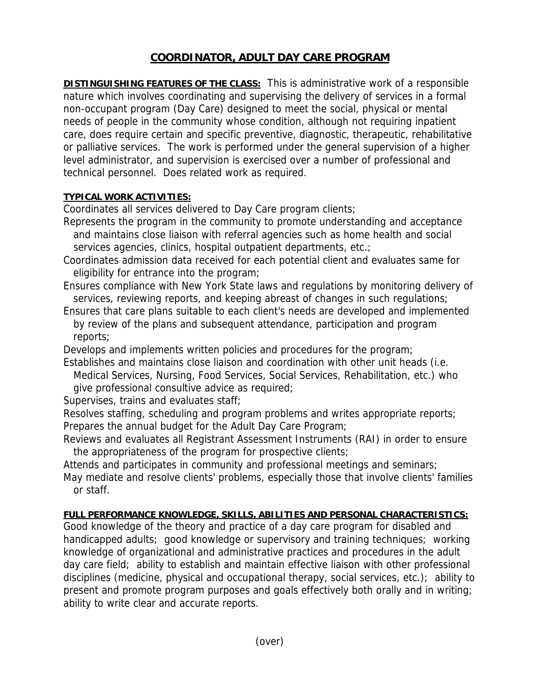# **COORDINATOR, ADULT DAY CARE PROGRAM**

**DISTINGUISHING FEATURES OF THE CLASS:** This is administrative work of a responsible nature which involves coordinating and supervising the delivery of services in a formal non-occupant program (Day Care) designed to meet the social, physical or mental needs of people in the community whose condition, although not requiring inpatient care, does require certain and specific preventive, diagnostic, therapeutic, rehabilitative or palliative services. The work is performed under the general supervision of a higher level administrator, and supervision is exercised over a number of professional and technical personnel. Does related work as required.

## **TYPICAL WORK ACTIVITIES:**

Coordinates all services delivered to Day Care program clients;

- Represents the program in the community to promote understanding and acceptance and maintains close liaison with referral agencies such as home health and social services agencies, clinics, hospital outpatient departments, etc.;
- Coordinates admission data received for each potential client and evaluates same for eligibility for entrance into the program;
- Ensures compliance with New York State laws and regulations by monitoring delivery of services, reviewing reports, and keeping abreast of changes in such regulations;
- Ensures that care plans suitable to each client's needs are developed and implemented by review of the plans and subsequent attendance, participation and program reports;
- Develops and implements written policies and procedures for the program;
- Establishes and maintains close liaison and coordination with other unit heads (i.e. Medical Services, Nursing, Food Services, Social Services, Rehabilitation, etc.) who give professional consultive advice as required;

Supervises, trains and evaluates staff;

Resolves staffing, scheduling and program problems and writes appropriate reports; Prepares the annual budget for the Adult Day Care Program;

Reviews and evaluates all Registrant Assessment Instruments (RAI) in order to ensure the appropriateness of the program for prospective clients;

Attends and participates in community and professional meetings and seminars; May mediate and resolve clients' problems, especially those that involve clients' families or staff.

## **FULL PERFORMANCE KNOWLEDGE, SKILLS, ABILITIES AND PERSONAL CHARACTERISTICS:**

Good knowledge of the theory and practice of a day care program for disabled and handicapped adults; good knowledge or supervisory and training techniques; working knowledge of organizational and administrative practices and procedures in the adult day care field; ability to establish and maintain effective liaison with other professional disciplines (medicine, physical and occupational therapy, social services, etc.); ability to present and promote program purposes and goals effectively both orally and in writing; ability to write clear and accurate reports.